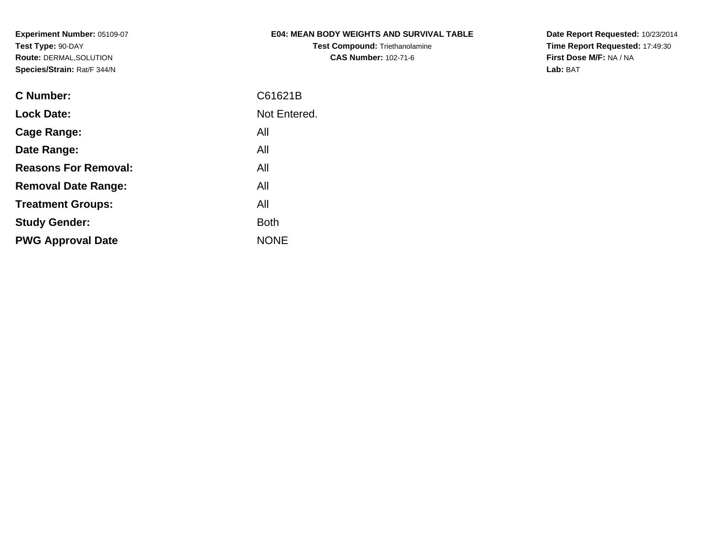# **E04: MEAN BODY WEIGHTS AND SURVIVAL TABLE**

**Test Compound:** Triethanolamine**CAS Number:** 102-71-6

**Date Report Requested:** 10/23/2014 **Time Report Requested:** 17:49:30**First Dose M/F:** NA / NA**Lab:** BAT

| C61621B      |
|--------------|
| Not Entered. |
| All          |
| All          |
| All          |
| All          |
| All          |
| <b>Both</b>  |
| <b>NONE</b>  |
|              |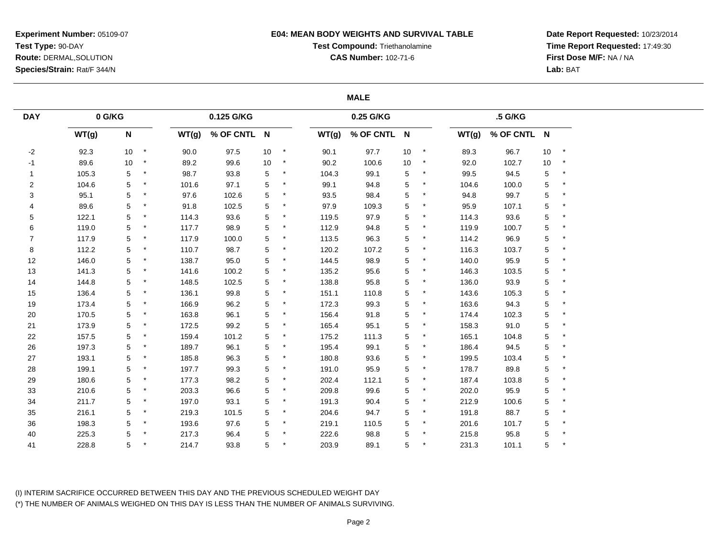## **E04: MEAN BODY WEIGHTS AND SURVIVAL TABLE**

**Test Compound:** Triethanolamine

**CAS Number:** 102-71-6

**Date Report Requested:** 10/23/2014**Time Report Requested:** 17:49:30**First Dose M/F:** NA / NA**Lab:** BAT

### **MALE**

| <b>DAY</b>     | 0 G/KG |                           |             |       | 0.125 G/KG  |    |         |       | 0.25 G/KG   |    |         |       | .5 G/KG     |             |         |
|----------------|--------|---------------------------|-------------|-------|-------------|----|---------|-------|-------------|----|---------|-------|-------------|-------------|---------|
|                | WT(g)  | $\boldsymbol{\mathsf{N}}$ |             | WT(g) | % OF CNTL N |    |         | WT(g) | % OF CNTL N |    |         | WT(g) | % OF CNTL N |             |         |
| $-2$           | 92.3   | 10 <sup>°</sup>           | $\star$     | 90.0  | 97.5        | 10 | $\star$ | 90.1  | 97.7        | 10 | $\star$ | 89.3  | 96.7        | $10$        | $\star$ |
| $-1$           | 89.6   | 10                        | $^\star$    | 89.2  | 99.6        | 10 | $\star$ | 90.2  | 100.6       | 10 | $\star$ | 92.0  | 102.7       | 10          | $\star$ |
| $\mathbf{1}$   | 105.3  | 5                         | $\ast$      | 98.7  | 93.8        | 5  |         | 104.3 | 99.1        | 5  |         | 99.5  | 94.5        | 5           |         |
| $\overline{2}$ | 104.6  | 5                         | ${}^{\ast}$ | 101.6 | 97.1        | 5  |         | 99.1  | 94.8        | 5  | *       | 104.6 | 100.0       | $\mathbf 5$ |         |
| $\sqrt{3}$     | 95.1   | 5                         | $\star$     | 97.6  | 102.6       | 5  |         | 93.5  | 98.4        | 5  | $\ast$  | 94.8  | 99.7        | 5           |         |
| 4              | 89.6   | 5                         | $\star$     | 91.8  | 102.5       | 5  |         | 97.9  | 109.3       | 5  |         | 95.9  | 107.1       | $\mathbf 5$ |         |
| 5              | 122.1  | 5                         | $\star$     | 114.3 | 93.6        | 5  |         | 119.5 | 97.9        | 5  | $\ast$  | 114.3 | 93.6        | 5           |         |
| 6              | 119.0  | 5                         | ${}^{\ast}$ | 117.7 | 98.9        | 5  |         | 112.9 | 94.8        | 5  | $\ast$  | 119.9 | 100.7       | 5           |         |
| $\overline{7}$ | 117.9  | 5                         | $\star$     | 117.9 | 100.0       | 5  |         | 113.5 | 96.3        | 5  |         | 114.2 | 96.9        | $\mathbf 5$ |         |
| $\bf 8$        | 112.2  | 5                         | ${}^{\ast}$ | 110.7 | 98.7        | 5  |         | 120.2 | 107.2       | 5  | $\ast$  | 116.3 | 103.7       | $\mathbf 5$ |         |
| 12             | 146.0  | 5                         | $\star$     | 138.7 | 95.0        | 5  |         | 144.5 | 98.9        | 5  | $\ast$  | 140.0 | 95.9        | 5           |         |
| 13             | 141.3  | 5                         |             | 141.6 | 100.2       | 5  |         | 135.2 | 95.6        | 5  |         | 146.3 | 103.5       | 5           |         |
| 14             | 144.8  | 5                         | $\star$     | 148.5 | 102.5       | 5  | $\ast$  | 138.8 | 95.8        | 5  | $\star$ | 136.0 | 93.9        | $\mathbf 5$ | $\star$ |
| 15             | 136.4  | 5                         |             | 136.1 | 99.8        | 5  |         | 151.1 | 110.8       | 5  |         | 143.6 | 105.3       | 5           |         |
| $19$           | 173.4  | 5                         | $\ast$      | 166.9 | 96.2        | 5  |         | 172.3 | 99.3        | 5  | *       | 163.6 | 94.3        | 5           |         |
| 20             | 170.5  | 5                         | $\ast$      | 163.8 | 96.1        | 5  |         | 156.4 | 91.8        | 5  | $\ast$  | 174.4 | 102.3       | 5           |         |
| 21             | 173.9  | 5                         |             | 172.5 | 99.2        | 5  |         | 165.4 | 95.1        | 5  |         | 158.3 | 91.0        | 5           |         |
| 22             | 157.5  | 5                         |             | 159.4 | 101.2       | 5  |         | 175.2 | 111.3       | 5  | $\ast$  | 165.1 | 104.8       | $\mathbf 5$ |         |
| $26\,$         | 197.3  | 5                         | $\ast$      | 189.7 | 96.1        | 5  | $\star$ | 195.4 | 99.1        | 5  | $\star$ | 186.4 | 94.5        | 5           | $\ast$  |
| 27             | 193.1  | 5                         |             | 185.8 | 96.3        | 5  |         | 180.8 | 93.6        | 5  |         | 199.5 | 103.4       | 5           |         |
| 28             | 199.1  | 5                         | ${}^{\ast}$ | 197.7 | 99.3        | 5  |         | 191.0 | 95.9        | 5  | $\ast$  | 178.7 | 89.8        | 5           |         |
| 29             | 180.6  | 5                         | $\star$     | 177.3 | 98.2        | 5  |         | 202.4 | 112.1       | 5  | $\ast$  | 187.4 | 103.8       | $\mathbf 5$ |         |
| 33             | 210.6  | 5                         |             | 203.3 | 96.6        | 5  |         | 209.8 | 99.6        | 5  |         | 202.0 | 95.9        | 5           |         |
| 34             | 211.7  | 5                         | $\ast$      | 197.0 | 93.1        | 5  | $\ast$  | 191.3 | 90.4        | 5  | $\star$ | 212.9 | 100.6       | $\mathbf 5$ |         |
| 35             | 216.1  | 5                         | $\star$     | 219.3 | 101.5       | 5  |         | 204.6 | 94.7        | 5  | $\ast$  | 191.8 | 88.7        | 5           |         |
| 36             | 198.3  | 5                         |             | 193.6 | 97.6        | 5  |         | 219.1 | 110.5       | 5  | *       | 201.6 | 101.7       | 5           |         |
| 40             | 225.3  | 5                         |             | 217.3 | 96.4        | 5  |         | 222.6 | 98.8        | 5  | $\star$ | 215.8 | 95.8        | $\mathbf 5$ |         |
| 41             | 228.8  | 5                         |             | 214.7 | 93.8        | 5  |         | 203.9 | 89.1        | 5  |         | 231.3 | 101.1       | 5           |         |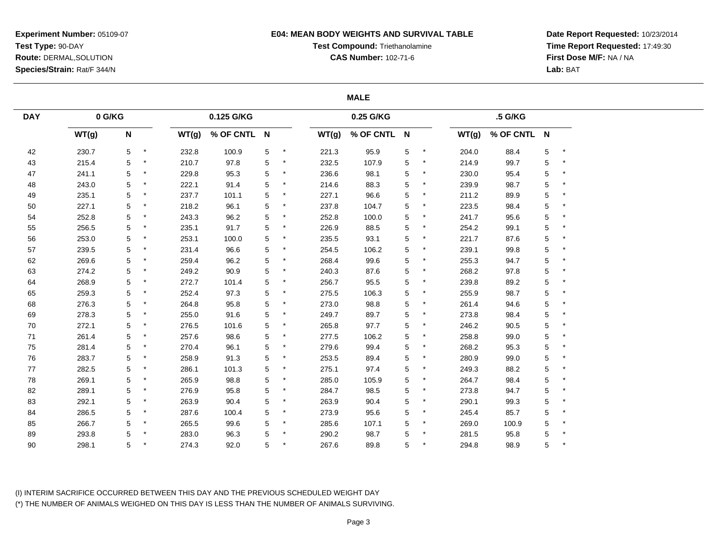## **E04: MEAN BODY WEIGHTS AND SURVIVAL TABLE**

**Test Compound:** Triethanolamine

**CAS Number:** 102-71-6

**Date Report Requested:** 10/23/2014**Time Report Requested:** 17:49:30**First Dose M/F:** NA / NA**Lab:** BAT

## **MALE**

| <b>DAY</b> | 0 G/KG |   |         |       | 0.125 G/KG  |   |         |       | 0.25 G/KG   |   |         |       | .5 G/KG     |             |         |
|------------|--------|---|---------|-------|-------------|---|---------|-------|-------------|---|---------|-------|-------------|-------------|---------|
|            | WT(g)  | N |         | WT(g) | % OF CNTL N |   |         | WT(g) | % OF CNTL N |   |         | WT(g) | % OF CNTL N |             |         |
| 42         | 230.7  | 5 | $\star$ | 232.8 | 100.9       | 5 | $\star$ | 221.3 | 95.9        | 5 | $\ast$  | 204.0 | 88.4        | $\,$ 5 $\,$ | $\star$ |
| 43         | 215.4  | 5 |         | 210.7 | 97.8        | 5 | $\star$ | 232.5 | 107.9       | 5 | $\star$ | 214.9 | 99.7        | $\mathbf 5$ | $\star$ |
| 47         | 241.1  | 5 |         | 229.8 | 95.3        | 5 |         | 236.6 | 98.1        | 5 |         | 230.0 | 95.4        | 5           |         |
| 48         | 243.0  | 5 |         | 222.1 | 91.4        | 5 |         | 214.6 | 88.3        | 5 |         | 239.9 | 98.7        | $\mathbf 5$ |         |
| 49         | 235.1  | 5 |         | 237.7 | 101.1       | 5 |         | 227.1 | 96.6        | 5 |         | 211.2 | 89.9        | 5           |         |
| 50         | 227.1  | 5 |         | 218.2 | 96.1        | 5 |         | 237.8 | 104.7       | 5 |         | 223.5 | 98.4        | $\,$ 5 $\,$ |         |
| 54         | 252.8  | 5 |         | 243.3 | 96.2        | 5 |         | 252.8 | 100.0       | 5 |         | 241.7 | 95.6        | 5           |         |
| 55         | 256.5  | 5 |         | 235.1 | 91.7        | 5 | $\ast$  | 226.9 | 88.5        | 5 | $\ast$  | 254.2 | 99.1        | 5           |         |
| 56         | 253.0  | 5 |         | 253.1 | 100.0       | 5 |         | 235.5 | 93.1        | 5 |         | 221.7 | 87.6        | $\mathbf 5$ |         |
| 57         | 239.5  | 5 |         | 231.4 | 96.6        | 5 |         | 254.5 | 106.2       | 5 |         | 239.1 | 99.8        | 5           |         |
| 62         | 269.6  | 5 |         | 259.4 | 96.2        | 5 |         | 268.4 | 99.6        | 5 |         | 255.3 | 94.7        | 5           |         |
| 63         | 274.2  | 5 |         | 249.2 | 90.9        | 5 |         | 240.3 | 87.6        | 5 |         | 268.2 | 97.8        | 5           |         |
| 64         | 268.9  | 5 |         | 272.7 | 101.4       | 5 |         | 256.7 | 95.5        | 5 | *       | 239.8 | 89.2        | 5           |         |
| 65         | 259.3  | 5 |         | 252.4 | 97.3        | 5 |         | 275.5 | 106.3       | 5 |         | 255.9 | 98.7        | $\mathbf 5$ |         |
| 68         | 276.3  | 5 |         | 264.8 | 95.8        | 5 |         | 273.0 | 98.8        | 5 |         | 261.4 | 94.6        | 5           |         |
| 69         | 278.3  | 5 |         | 255.0 | 91.6        | 5 |         | 249.7 | 89.7        | 5 |         | 273.8 | 98.4        | 5           |         |
| 70         | 272.1  | 5 |         | 276.5 | 101.6       | 5 |         | 265.8 | 97.7        | 5 |         | 246.2 | 90.5        | $\mathbf 5$ |         |
| 71         | 261.4  | 5 |         | 257.6 | 98.6        | 5 |         | 277.5 | 106.2       | 5 |         | 258.8 | 99.0        | 5           |         |
| 75         | 281.4  | 5 | $\star$ | 270.4 | 96.1        | 5 |         | 279.6 | 99.4        | 5 | $\ast$  | 268.2 | 95.3        | 5           |         |
| 76         | 283.7  | 5 |         | 258.9 | 91.3        | 5 |         | 253.5 | 89.4        | 5 |         | 280.9 | 99.0        | $\mathbf 5$ |         |
| 77         | 282.5  | 5 |         | 286.1 | 101.3       | 5 |         | 275.1 | 97.4        | 5 |         | 249.3 | 88.2        | 5           |         |
| 78         | 269.1  | 5 | $\star$ | 265.9 | 98.8        | 5 | $^\ast$ | 285.0 | 105.9       | 5 | $\ast$  | 264.7 | 98.4        | $\mathbf 5$ |         |
| 82         | 289.1  | 5 |         | 276.9 | 95.8        | 5 |         | 284.7 | 98.5        | 5 |         | 273.8 | 94.7        | 5           |         |
| 83         | 292.1  | 5 |         | 263.9 | 90.4        | 5 | $\ast$  | 263.9 | 90.4        | 5 | $\ast$  | 290.1 | 99.3        | 5           |         |
| 84         | 286.5  | 5 |         | 287.6 | 100.4       | 5 |         | 273.9 | 95.6        | 5 |         | 245.4 | 85.7        | 5           | $\star$ |
| 85         | 266.7  | 5 |         | 265.5 | 99.6        | 5 |         | 285.6 | 107.1       | 5 |         | 269.0 | 100.9       | 5           |         |
| 89         | 293.8  | 5 |         | 283.0 | 96.3        | 5 |         | 290.2 | 98.7        | 5 | $\ast$  | 281.5 | 95.8        | $\,$ 5 $\,$ |         |
| 90         | 298.1  | 5 |         | 274.3 | 92.0        | 5 |         | 267.6 | 89.8        | 5 |         | 294.8 | 98.9        | 5           |         |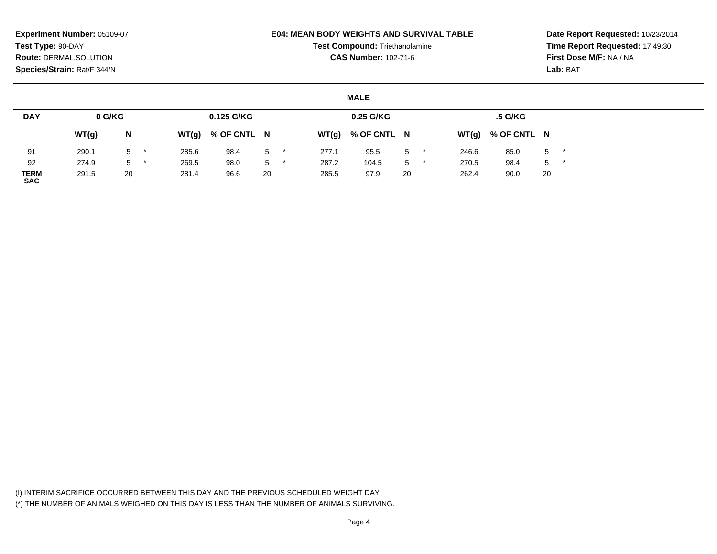## **E04: MEAN BODY WEIGHTS AND SURVIVAL TABLE**

**Test Compound:** Triethanolamine**CAS Number:** 102-71-6

**Date Report Requested:** 10/23/2014**Time Report Requested:** 17:49:30**First Dose M/F:** NA / NA**Lab:** BAT

## **MALE**

| <b>DAY</b>                | 0 G/KG |    |       | 0.125 G/KG  |    |       | 0.25 G/KG   |       |       | .5 G/KG     |    |  |
|---------------------------|--------|----|-------|-------------|----|-------|-------------|-------|-------|-------------|----|--|
|                           | WT(g)  | N  | WT(g) | % OF CNTL N |    | WT(g) | % OF CNTL N |       | WT(g) | % OF CNTL N |    |  |
| 91                        | 290.1  | 5  | 285.6 | 98.4        | 5  | 277.1 | 95.5        | $5$ * | 246.6 | 85.0        | 5  |  |
| 92                        | 274.9  | 5  | 269.5 | 98.0        | 5  | 287.2 | 104.5       | 5     | 270.5 | 98.4        | 5  |  |
| <b>TERM</b><br><b>SAC</b> | 291.5  | 20 | 281.4 | 96.6        | 20 | 285.5 | 97.9        | 20    | 262.4 | 90.0        | 20 |  |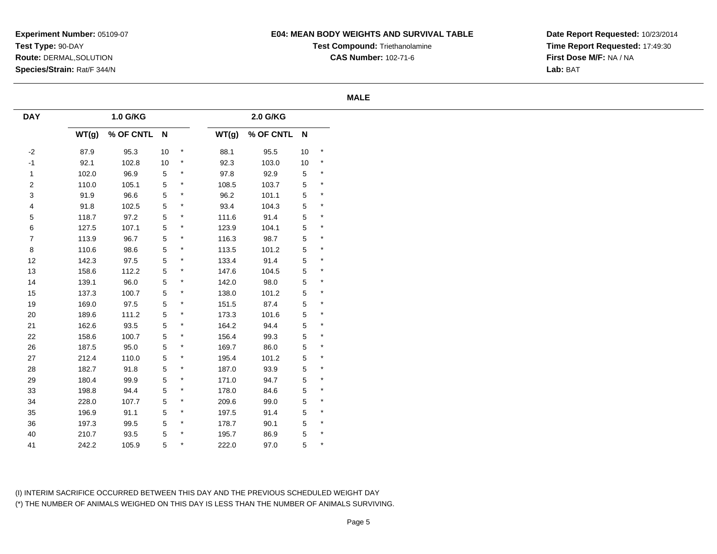# **E04: MEAN BODY WEIGHTS AND SURVIVAL TABLE**

**Test Compound:** Triethanolamine**CAS Number:** 102-71-6

**Date Report Requested:** 10/23/2014**Time Report Requested:** 17:49:30**First Dose M/F:** NA / NA**Lab:** BAT

### **MALE**

| <b>DAY</b>       |       | 1.0 G/KG    |                |         |       | 2.0 G/KG    |             |            |
|------------------|-------|-------------|----------------|---------|-------|-------------|-------------|------------|
|                  | WT(g) | % OF CNTL N |                |         | WT(g) | % OF CNTL N |             |            |
| $-2$             | 87.9  | 95.3        | 10             | $\star$ | 88.1  | 95.5        | 10          | $^{\star}$ |
| $-1$             | 92.1  | 102.8       | 10             | $\star$ | 92.3  | 103.0       | 10          | $\star$    |
| $\mathbf{1}$     | 102.0 | 96.9        | $\sqrt{5}$     | $\star$ | 97.8  | 92.9        | $\mathbf 5$ | $\star$    |
| $\boldsymbol{2}$ | 110.0 | 105.1       | 5              | $\star$ | 108.5 | 103.7       | $\mathbf 5$ | $\star$    |
| $\sqrt{3}$       | 91.9  | 96.6        | 5              | $\star$ | 96.2  | 101.1       | $\mathbf 5$ | $\star$    |
| 4                | 91.8  | 102.5       | $\overline{5}$ | $\star$ | 93.4  | 104.3       | $\mathbf 5$ | $\star$    |
| $\,$ 5 $\,$      | 118.7 | 97.2        | 5              | $\star$ | 111.6 | 91.4        | $\mathbf 5$ | $\star$    |
| 6                | 127.5 | 107.1       | 5              | $\star$ | 123.9 | 104.1       | $\mathbf 5$ | $\star$    |
| $\overline{7}$   | 113.9 | 96.7        | 5              | $\ast$  | 116.3 | 98.7        | $\mathbf 5$ | $\star$    |
| $\bf 8$          | 110.6 | 98.6        | 5              | $\star$ | 113.5 | 101.2       | 5           | $\star$    |
| $12\,$           | 142.3 | 97.5        | 5              | $\star$ | 133.4 | 91.4        | $\mathbf 5$ | $\star$    |
| 13               | 158.6 | 112.2       | 5              | $\star$ | 147.6 | 104.5       | $\mathbf 5$ | $\star$    |
| 14               | 139.1 | 96.0        | 5              | $\star$ | 142.0 | 98.0        | $\mathbf 5$ | $\star$    |
| 15               | 137.3 | 100.7       | 5              | $\star$ | 138.0 | 101.2       | $\mathbf 5$ | $\star$    |
| 19               | 169.0 | 97.5        | 5              | $\star$ | 151.5 | 87.4        | $\mathbf 5$ | $\star$    |
| 20               | 189.6 | 111.2       | 5              | $\star$ | 173.3 | 101.6       | $\mathbf 5$ | $\star$    |
| $21$             | 162.6 | 93.5        | 5              | $\ast$  | 164.2 | 94.4        | $\mathbf 5$ | $\star$    |
| 22               | 158.6 | 100.7       | 5              | $\star$ | 156.4 | 99.3        | $\mathbf 5$ | $\star$    |
| $26\,$           | 187.5 | 95.0        | 5              | $\star$ | 169.7 | 86.0        | $\mathbf 5$ | $\star$    |
| $27\,$           | 212.4 | 110.0       | 5              | $\ast$  | 195.4 | 101.2       | $\mathbf 5$ | $\star$    |
| 28               | 182.7 | 91.8        | 5              | $\star$ | 187.0 | 93.9        | $\mathbf 5$ | $\star$    |
| 29               | 180.4 | 99.9        | 5              | $\star$ | 171.0 | 94.7        | $\mathbf 5$ | $\star$    |
| 33               | 198.8 | 94.4        | 5              | $\star$ | 178.0 | 84.6        | $\mathbf 5$ | $\star$    |
| 34               | 228.0 | 107.7       | 5              | $\star$ | 209.6 | 99.0        | $\mathbf 5$ | $\star$    |
| $35\,$           | 196.9 | 91.1        | 5              | $\star$ | 197.5 | 91.4        | $\mathbf 5$ | $\star$    |
| 36               | 197.3 | 99.5        | 5              | $\ast$  | 178.7 | 90.1        | $\mathbf 5$ | $\star$    |
| $40\,$           | 210.7 | 93.5        | 5              | $\star$ | 195.7 | 86.9        | $\mathbf 5$ | $\star$    |
| 41               | 242.2 | 105.9       | 5              |         | 222.0 | 97.0        | 5           | $\star$    |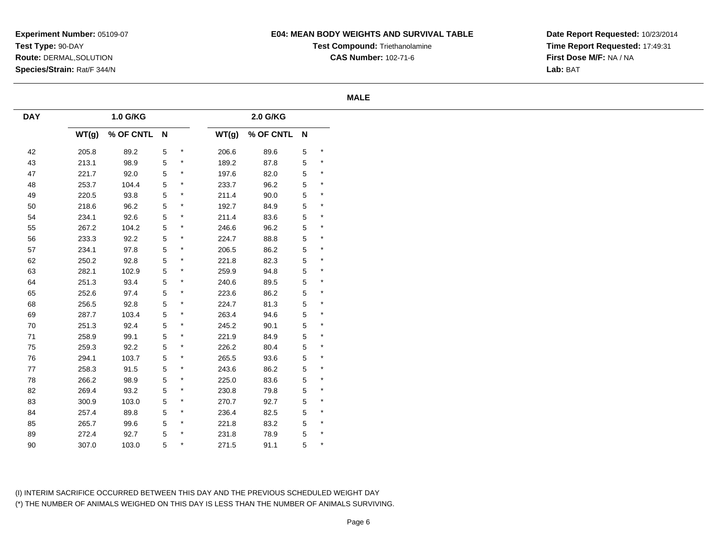# **E04: MEAN BODY WEIGHTS AND SURVIVAL TABLE**

**Test Compound:** Triethanolamine**CAS Number:** 102-71-6

**Date Report Requested:** 10/23/2014**Time Report Requested:** 17:49:31**First Dose M/F:** NA / NA**Lab:** BAT

### **MALE**

| <b>DAY</b> |       | 1.0 G/KG    |                |         |       | 2.0 G/KG    |   |          |
|------------|-------|-------------|----------------|---------|-------|-------------|---|----------|
|            | WT(g) | % OF CNTL N |                |         | WT(g) | % OF CNTL N |   |          |
| 42         | 205.8 | 89.2        | $\,$ 5 $\,$    | $\star$ | 206.6 | 89.6        | 5 | $\star$  |
| 43         | 213.1 | 98.9        | $\overline{5}$ | $\star$ | 189.2 | 87.8        | 5 | $\star$  |
| 47         | 221.7 | 92.0        | $\overline{5}$ | $\star$ | 197.6 | 82.0        | 5 | $\star$  |
| 48         | 253.7 | 104.4       | 5              | $\ast$  | 233.7 | 96.2        | 5 | $^\star$ |
| 49         | 220.5 | 93.8        | $\mathbf 5$    | $\star$ | 211.4 | 90.0        | 5 | $^\star$ |
| $50\,$     | 218.6 | 96.2        | 5              | $\ast$  | 192.7 | 84.9        | 5 | $^\star$ |
| 54         | 234.1 | 92.6        | 5              | $\ast$  | 211.4 | 83.6        | 5 | $^\star$ |
| 55         | 267.2 | 104.2       | $\,$ 5 $\,$    | $\star$ | 246.6 | 96.2        | 5 | $\star$  |
| 56         | 233.3 | 92.2        | $\mathbf 5$    | $\star$ | 224.7 | 88.8        | 5 | $\star$  |
| 57         | 234.1 | 97.8        | 5              | $\star$ | 206.5 | 86.2        | 5 | $\star$  |
| 62         | 250.2 | 92.8        | 5              | $\star$ | 221.8 | 82.3        | 5 | $\star$  |
| 63         | 282.1 | 102.9       | $\mathbf 5$    | $\ast$  | 259.9 | 94.8        | 5 | $\star$  |
| 64         | 251.3 | 93.4        | 5              | $\star$ | 240.6 | 89.5        | 5 | $^\star$ |
| 65         | 252.6 | 97.4        | 5              | $\star$ | 223.6 | 86.2        | 5 | $\star$  |
| 68         | 256.5 | 92.8        | $\mathbf 5$    | $\ast$  | 224.7 | 81.3        | 5 | $^\star$ |
| 69         | 287.7 | 103.4       | $\mathbf 5$    | $\star$ | 263.4 | 94.6        | 5 | $\star$  |
| 70         | 251.3 | 92.4        | 5              | $\ast$  | 245.2 | 90.1        | 5 | $\star$  |
| 71         | 258.9 | 99.1        | 5              | $\ast$  | 221.9 | 84.9        | 5 | $\star$  |
| 75         | 259.3 | 92.2        | $\overline{5}$ | $\star$ | 226.2 | 80.4        | 5 | $\star$  |
| 76         | 294.1 | 103.7       | $\overline{5}$ | $\star$ | 265.5 | 93.6        | 5 | $\star$  |
| 77         | 258.3 | 91.5        | 5              | $\star$ | 243.6 | 86.2        | 5 | $^\star$ |
| 78         | 266.2 | 98.9        | $\mathbf 5$    | $\star$ | 225.0 | 83.6        | 5 | $\star$  |
| 82         | 269.4 | 93.2        | $\mathbf 5$    | $\star$ | 230.8 | 79.8        | 5 | $\star$  |
| 83         | 300.9 | 103.0       | 5              | $\star$ | 270.7 | 92.7        | 5 | $\star$  |
| 84         | 257.4 | 89.8        | 5              | $\star$ | 236.4 | 82.5        | 5 | $\star$  |
| 85         | 265.7 | 99.6        | $\,$ 5 $\,$    | $\star$ | 221.8 | 83.2        | 5 | $\star$  |
| 89         | 272.4 | 92.7        | 5              | $\star$ | 231.8 | 78.9        | 5 | $\star$  |
| $90\,$     | 307.0 | 103.0       | 5              | $\star$ | 271.5 | 91.1        | 5 | $\star$  |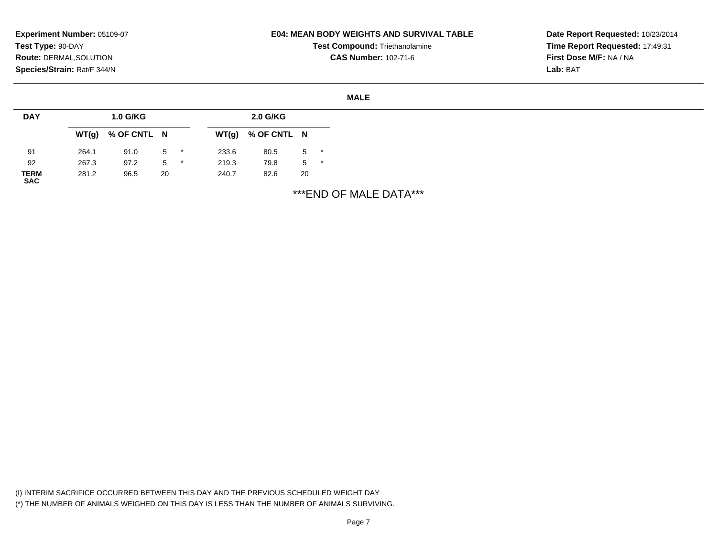# **E04: MEAN BODY WEIGHTS AND SURVIVAL TABLE**

**Test Compound:** Triethanolamine**CAS Number:** 102-71-6

**Date Report Requested:** 10/23/2014**Time Report Requested:** 17:49:31**First Dose M/F:** NA / NA**Lab:** BAT

#### **MALE**

| <b>DAY</b>                |       | <b>1.0 G/KG</b> |       |       | 2.0 G/KG    |       |  |
|---------------------------|-------|-----------------|-------|-------|-------------|-------|--|
|                           | WT(g) | % OF CNTL N     |       | WT(g) | % OF CNTL N |       |  |
| 91                        | 264.1 | 91.0            | $5$ * | 233.6 | 80.5        | $5$ * |  |
| 92                        | 267.3 | 97.2            | $5$ * | 219.3 | 79.8        | $5*$  |  |
| <b>TERM</b><br><b>SAC</b> | 281.2 | 96.5            | 20    | 240.7 | 82.6        | 20    |  |

\*\*\*END OF MALE DATA\*\*\*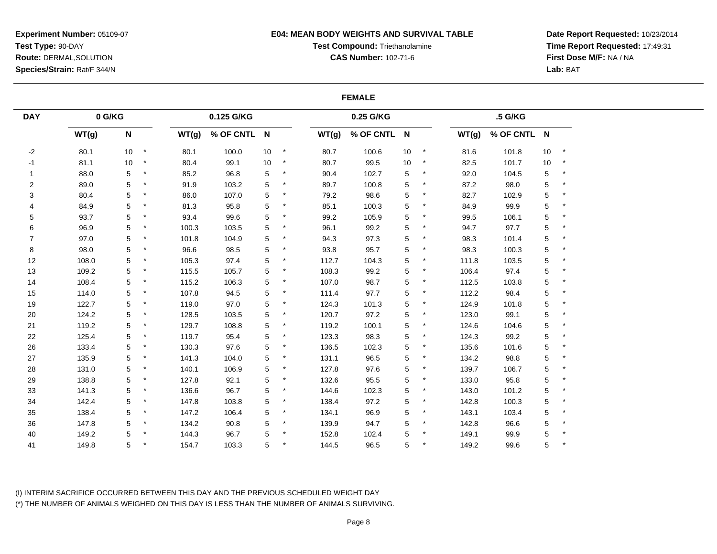## **E04: MEAN BODY WEIGHTS AND SURVIVAL TABLE**

# **Test Compound:** Triethanolamine

**CAS Number:** 102-71-6

**Date Report Requested:** 10/23/2014**Time Report Requested:** 17:49:31**First Dose M/F:** NA / NA**Lab:** BAT

## **FEMALE**

| <b>DAY</b>     | $0$ G/KG |                           |         |       | 0.125 G/KG  |    |         |       | 0.25 G/KG   |    |         |       | .5 G/KG     |            |          |
|----------------|----------|---------------------------|---------|-------|-------------|----|---------|-------|-------------|----|---------|-------|-------------|------------|----------|
|                | WT(g)    | $\boldsymbol{\mathsf{N}}$ |         | WT(g) | % OF CNTL N |    |         | WT(g) | % OF CNTL N |    |         | WT(g) | % OF CNTL N |            |          |
| $-2$           | 80.1     | 10 <sup>1</sup>           | $\star$ | 80.1  | 100.0       | 10 | $\star$ | 80.7  | 100.6       | 10 | $\star$ | 81.6  | 101.8       | 10         | $\star$  |
| $-1$           | 81.1     | 10                        | $\star$ | 80.4  | 99.1        | 10 | $\star$ | 80.7  | 99.5        | 10 | $\star$ | 82.5  | 101.7       | 10         | $\star$  |
| $\mathbf{1}$   | 88.0     | 5                         |         | 85.2  | 96.8        | 5  |         | 90.4  | 102.7       | 5  |         | 92.0  | 104.5       | 5          | $^\star$ |
| $\overline{c}$ | 89.0     | 5                         | $\star$ | 91.9  | 103.2       | 5  |         | 89.7  | 100.8       | 5  |         | 87.2  | 98.0        | 5          | $\ast$   |
| 3              | 80.4     | 5                         | $\star$ | 86.0  | 107.0       | 5  |         | 79.2  | 98.6        | 5  |         | 82.7  | 102.9       | 5          | $\ast$   |
| 4              | 84.9     | 5                         |         | 81.3  | 95.8        | 5  |         | 85.1  | 100.3       | 5  |         | 84.9  | 99.9        | 5          |          |
| 5              | 93.7     | 5                         | $^\ast$ | 93.4  | 99.6        | 5  |         | 99.2  | 105.9       | 5  |         | 99.5  | 106.1       | 5          |          |
| 6              | 96.9     | 5                         | $\star$ | 100.3 | 103.5       | 5  | $\star$ | 96.1  | 99.2        | 5  |         | 94.7  | 97.7        | 5          | $\ast$   |
| $\overline{7}$ | 97.0     | 5                         |         | 101.8 | 104.9       | 5  |         | 94.3  | 97.3        | 5  |         | 98.3  | 101.4       | 5          |          |
| 8              | 98.0     | 5                         |         | 96.6  | 98.5        | 5  |         | 93.8  | 95.7        | 5  |         | 98.3  | 100.3       | 5          |          |
| 12             | 108.0    | 5                         | $\star$ | 105.3 | 97.4        | 5  |         | 112.7 | 104.3       | 5  | $\star$ | 111.8 | 103.5       | 5          | $^\star$ |
| 13             | 109.2    | 5                         |         | 115.5 | 105.7       | 5  |         | 108.3 | 99.2        | 5  |         | 106.4 | 97.4        | 5          |          |
| 14             | 108.4    | 5                         |         | 115.2 | 106.3       | 5  |         | 107.0 | 98.7        | 5  | $\ast$  | 112.5 | 103.8       | $\sqrt{5}$ |          |
| 15             | 114.0    | 5                         |         | 107.8 | 94.5        | 5  |         | 111.4 | 97.7        | 5  |         | 112.2 | 98.4        | 5          | $\ast$   |
| 19             | 122.7    | 5                         |         | 119.0 | 97.0        | 5  |         | 124.3 | 101.3       | 5  |         | 124.9 | 101.8       | 5          |          |
| 20             | 124.2    | 5                         |         | 128.5 | 103.5       | 5  |         | 120.7 | 97.2        | 5  |         | 123.0 | 99.1        | 5          | $\ast$   |
| 21             | 119.2    | 5                         |         | 129.7 | 108.8       | 5  |         | 119.2 | 100.1       | 5  |         | 124.6 | 104.6       | 5          |          |
| 22             | 125.4    | 5                         |         | 119.7 | 95.4        | 5  |         | 123.3 | 98.3        | 5  | $^\ast$ | 124.3 | 99.2        | 5          |          |
| 26             | 133.4    | 5                         |         | 130.3 | 97.6        | 5  |         | 136.5 | 102.3       | 5  | $\star$ | 135.6 | 101.6       | 5          |          |
| 27             | 135.9    | 5                         |         | 141.3 | 104.0       | 5  |         | 131.1 | 96.5        | 5  |         | 134.2 | 98.8        | 5          |          |
| 28             | 131.0    | 5                         |         | 140.1 | 106.9       | 5  |         | 127.8 | 97.6        | 5  |         | 139.7 | 106.7       | 5          | $\ast$   |
| 29             | 138.8    | 5                         |         | 127.8 | 92.1        | 5  |         | 132.6 | 95.5        | 5  |         | 133.0 | 95.8        | 5          | $\ast$   |
| 33             | 141.3    | 5                         |         | 136.6 | 96.7        | 5  |         | 144.6 | 102.3       | 5  |         | 143.0 | 101.2       | 5          |          |
| 34             | 142.4    | 5                         |         | 147.8 | 103.8       | 5  | $\ast$  | 138.4 | 97.2        | 5  | $\star$ | 142.8 | 100.3       | 5          | $\star$  |
| 35             | 138.4    | 5                         |         | 147.2 | 106.4       | 5  |         | 134.1 | 96.9        | 5  |         | 143.1 | 103.4       | 5          |          |
| 36             | 147.8    | 5                         |         | 134.2 | 90.8        | 5  |         | 139.9 | 94.7        | 5  |         | 142.8 | 96.6        | 5          |          |
| 40             | 149.2    | 5                         |         | 144.3 | 96.7        | 5  |         | 152.8 | 102.4       | 5  | $\star$ | 149.1 | 99.9        | 5          | $\ast$   |
| 41             | 149.8    | 5                         |         | 154.7 | 103.3       | 5  |         | 144.5 | 96.5        | 5  |         | 149.2 | 99.6        | 5          |          |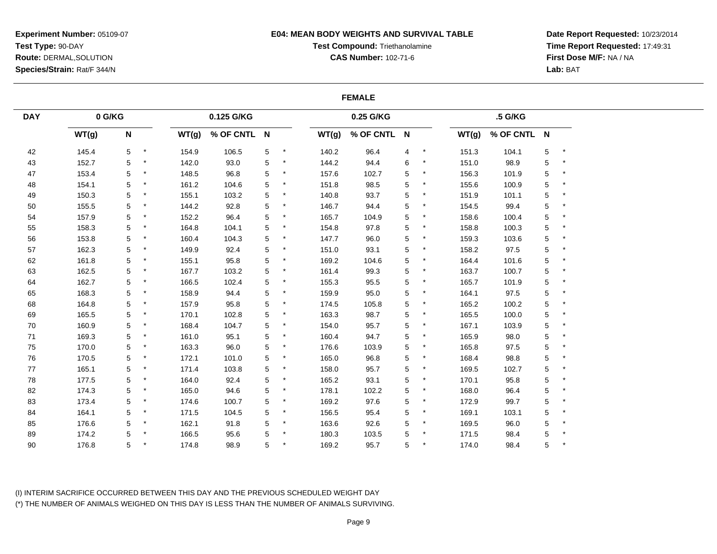## **E04: MEAN BODY WEIGHTS AND SURVIVAL TABLE**

# **Test Compound:** Triethanolamine

**CAS Number:** 102-71-6

**Date Report Requested:** 10/23/2014**Time Report Requested:** 17:49:31**First Dose M/F:** NA / NA**Lab:** BAT

### **FEMALE**

| <b>DAY</b> | $0$ G/KG |                           |         |       | 0.125 G/KG  |   |        |       | 0.25 G/KG   |   |         |       | .5 G/KG     |             |         |
|------------|----------|---------------------------|---------|-------|-------------|---|--------|-------|-------------|---|---------|-------|-------------|-------------|---------|
|            | WT(g)    | $\boldsymbol{\mathsf{N}}$ |         | WT(g) | % OF CNTL N |   |        | WT(g) | % OF CNTL N |   |         | WT(g) | % OF CNTL N |             |         |
| 42         | 145.4    | 5                         | $\star$ | 154.9 | 106.5       | 5 | $\ast$ | 140.2 | 96.4        | 4 | $\star$ | 151.3 | 104.1       | $\mathbf 5$ | $\star$ |
| 43         | 152.7    | 5                         | $\star$ | 142.0 | 93.0        | 5 | $\ast$ | 144.2 | 94.4        | 6 | $\star$ | 151.0 | 98.9        | 5           | $\star$ |
| 47         | 153.4    | 5                         |         | 148.5 | 96.8        | 5 | $\ast$ | 157.6 | 102.7       | 5 | $\star$ | 156.3 | 101.9       | 5           | $\star$ |
| 48         | 154.1    | 5                         | $\ast$  | 161.2 | 104.6       | 5 |        | 151.8 | 98.5        | 5 | $\ast$  | 155.6 | 100.9       | 5           |         |
| 49         | 150.3    | 5                         | $^\ast$ | 155.1 | 103.2       | 5 | $\ast$ | 140.8 | 93.7        | 5 | $\star$ | 151.9 | 101.1       | 5           | $\star$ |
| 50         | 155.5    | 5                         |         | 144.2 | 92.8        | 5 |        | 146.7 | 94.4        | 5 |         | 154.5 | 99.4        | 5           |         |
| 54         | 157.9    | 5                         | $\ast$  | 152.2 | 96.4        | 5 | ×      | 165.7 | 104.9       | 5 |         | 158.6 | 100.4       | 5           |         |
| 55         | 158.3    | 5                         | $\star$ | 164.8 | 104.1       | 5 | $\ast$ | 154.8 | 97.8        | 5 | $\star$ | 158.8 | 100.3       | 5           | $\star$ |
| 56         | 153.8    | 5                         | $\star$ | 160.4 | 104.3       | 5 |        | 147.7 | 96.0        | 5 | $\ast$  | 159.3 | 103.6       | 5           |         |
| 57         | 162.3    | 5                         | $\ast$  | 149.9 | 92.4        | 5 | ×      | 151.0 | 93.1        | 5 | $\ast$  | 158.2 | 97.5        | 5           | $\star$ |
| 62         | 161.8    | 5                         | $\ast$  | 155.1 | 95.8        | 5 |        | 169.2 | 104.6       | 5 | $\ast$  | 164.4 | 101.6       | 5           |         |
| 63         | 162.5    | 5                         | $\star$ | 167.7 | 103.2       | 5 |        | 161.4 | 99.3        | 5 | $\ast$  | 163.7 | 100.7       | 5           |         |
| 64         | 162.7    | 5                         | $\ast$  | 166.5 | 102.4       | 5 | $\ast$ | 155.3 | 95.5        | 5 | $\ast$  | 165.7 | 101.9       | 5           | $\ast$  |
| 65         | 168.3    | 5                         |         | 158.9 | 94.4        | 5 | ×      | 159.9 | 95.0        | 5 | $\ast$  | 164.1 | 97.5        | 5           | $\star$ |
| 68         | 164.8    | 5                         | $\ast$  | 157.9 | 95.8        | 5 |        | 174.5 | 105.8       | 5 | $\ast$  | 165.2 | 100.2       | 5           |         |
| 69         | 165.5    | 5                         | $\star$ | 170.1 | 102.8       | 5 | $\ast$ | 163.3 | 98.7        | 5 | $\star$ | 165.5 | 100.0       | 5           | $\star$ |
| 70         | 160.9    | 5                         | $\star$ | 168.4 | 104.7       | 5 |        | 154.0 | 95.7        | 5 |         | 167.1 | 103.9       | 5           |         |
| 71         | 169.3    | 5                         | $\ast$  | 161.0 | 95.1        | 5 | $\ast$ | 160.4 | 94.7        | 5 | $\ast$  | 165.9 | 98.0        | 5           |         |
| 75         | 170.0    | 5                         | $\star$ | 163.3 | 96.0        | 5 | $\ast$ | 176.6 | 103.9       | 5 | $\star$ | 165.8 | 97.5        | 5           | $\star$ |
| 76         | 170.5    | 5                         | $\star$ | 172.1 | 101.0       | 5 |        | 165.0 | 96.8        | 5 | $\ast$  | 168.4 | 98.8        | 5           |         |
| 77         | 165.1    | 5                         | $\star$ | 171.4 | 103.8       | 5 | ×      | 158.0 | 95.7        | 5 | $\ast$  | 169.5 | 102.7       | 5           | $\star$ |
| 78         | 177.5    | 5                         | $\star$ | 164.0 | 92.4        | 5 | ×      | 165.2 | 93.1        | 5 | $\ast$  | 170.1 | 95.8        | 5           | $\star$ |
| 82         | 174.3    | 5                         | $\ast$  | 165.0 | 94.6        | 5 |        | 178.1 | 102.2       | 5 | $\ast$  | 168.0 | 96.4        | 5           |         |
| 83         | 173.4    | 5                         | $\ast$  | 174.6 | 100.7       | 5 | $\ast$ | 169.2 | 97.6        | 5 | $\ast$  | 172.9 | 99.7        | 5           | $\star$ |
| 84         | 164.1    | 5                         | $\ast$  | 171.5 | 104.5       | 5 | $\ast$ | 156.5 | 95.4        | 5 | $\ast$  | 169.1 | 103.1       | 5           |         |
| 85         | 176.6    | 5                         |         | 162.1 | 91.8        | 5 |        | 163.6 | 92.6        | 5 | $\ast$  | 169.5 | 96.0        | 5           |         |
| 89         | 174.2    | 5                         |         | 166.5 | 95.6        | 5 | $\ast$ | 180.3 | 103.5       | 5 | $\star$ | 171.5 | 98.4        | 5           | $\star$ |
| 90         | 176.8    | 5                         |         | 174.8 | 98.9        | 5 |        | 169.2 | 95.7        | 5 | $\ast$  | 174.0 | 98.4        | 5           |         |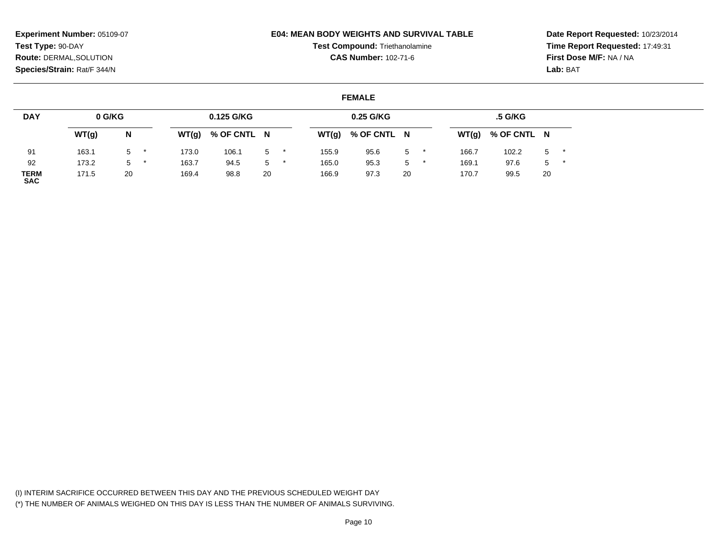## **E04: MEAN BODY WEIGHTS AND SURVIVAL TABLE**

**Test Compound:** Triethanolamine**CAS Number:** 102-71-6

**Date Report Requested:** 10/23/2014**Time Report Requested:** 17:49:31**First Dose M/F:** NA / NA**Lab:** BAT

# **FEMALE**

| <b>DAY</b>                | 0 G/KG |    |       | 0.125 G/KG  |       |       | 0.25 G/KG   |                |         |       | .5 G/KG     |       |  |
|---------------------------|--------|----|-------|-------------|-------|-------|-------------|----------------|---------|-------|-------------|-------|--|
|                           | WT(g)  | N  | WT(g) | % OF CNTL N |       | WT(g) | % OF CNTL N |                |         | WT(g) | % OF CNTL N |       |  |
| 91                        | 163.1  | 5  | 173.0 | 106.1       | 5     | 155.9 | 95.6        | 5              |         | 166.7 | 102.2       | $5$ * |  |
| 92                        | 173.2  | 5  | 163.7 | 94.5        | $5 -$ | 165.0 | 95.3        | 5 <sup>5</sup> | $\star$ | 169.1 | 97.6        | $5*$  |  |
| <b>TERM</b><br><b>SAC</b> | 171.5  | 20 | 169.4 | 98.8        | 20    | 166.9 | 97.3        | 20             |         | 170.7 | 99.5        | 20    |  |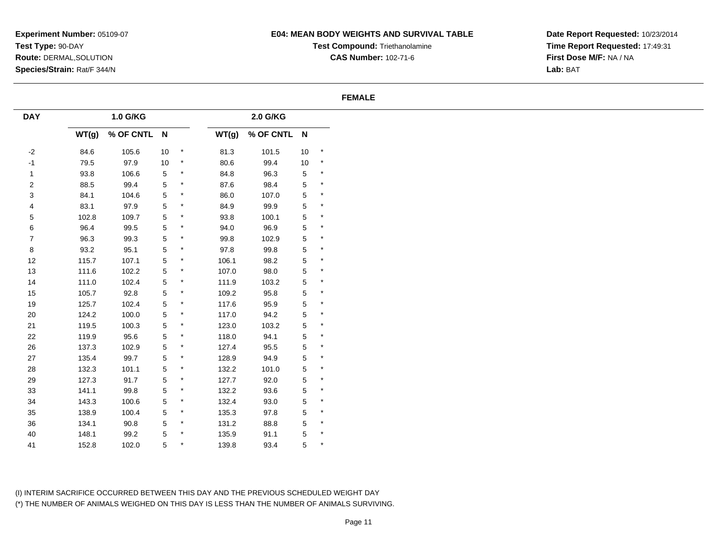# **E04: MEAN BODY WEIGHTS AND SURVIVAL TABLE**

**Test Compound:** Triethanolamine**CAS Number:** 102-71-6

**Date Report Requested:** 10/23/2014**Time Report Requested:** 17:49:31**First Dose M/F:** NA / NA**Lab:** BAT

### **FEMALE**

| <b>DAY</b>       |       | 1.0 G/KG    |                |         |       | 2.0 G/KG    |                |         |
|------------------|-------|-------------|----------------|---------|-------|-------------|----------------|---------|
|                  | WT(g) | % OF CNTL N |                |         | WT(g) | % OF CNTL N |                |         |
| $-2$             | 84.6  | 105.6       | 10             | $\star$ | 81.3  | 101.5       | 10             | $\star$ |
| $-1$             | 79.5  | 97.9        | $10$           | $\star$ | 80.6  | 99.4        | 10             | $\star$ |
| $\mathbf{1}$     | 93.8  | 106.6       | 5              | $\star$ | 84.8  | 96.3        | $\,$ 5 $\,$    | $\star$ |
| $\overline{c}$   | 88.5  | 99.4        | 5              | $\star$ | 87.6  | 98.4        | $\,$ 5 $\,$    | $\star$ |
| $\mathbf{3}$     | 84.1  | 104.6       | 5              | $\star$ | 86.0  | 107.0       | $\mathbf 5$    | $\star$ |
| 4                | 83.1  | 97.9        | 5              | $\ast$  | 84.9  | 99.9        | 5              | $\star$ |
| $\mathbf 5$      | 102.8 | 109.7       | $\,$ 5 $\,$    | $\star$ | 93.8  | 100.1       | $\,$ 5 $\,$    | $\star$ |
| 6                | 96.4  | 99.5        | 5              | $\star$ | 94.0  | 96.9        | $\,$ 5 $\,$    | $\star$ |
| $\boldsymbol{7}$ | 96.3  | 99.3        | 5              | $\star$ | 99.8  | 102.9       | $\mathbf 5$    | $\star$ |
| 8                | 93.2  | 95.1        | $\overline{5}$ | $\star$ | 97.8  | 99.8        | $\,$ 5 $\,$    | $\star$ |
| 12               | 115.7 | 107.1       | 5              |         | 106.1 | 98.2        | 5              | $\star$ |
| $13$             | 111.6 | 102.2       | $\,$ 5 $\,$    | $\ast$  | 107.0 | 98.0        | $\mathbf 5$    | $\star$ |
| 14               | 111.0 | 102.4       | $\overline{5}$ | $\star$ | 111.9 | 103.2       | $\,$ 5 $\,$    | $\star$ |
| 15               | 105.7 | 92.8        | $\overline{5}$ | $\ast$  | 109.2 | 95.8        | $\mathbf 5$    | $\star$ |
| 19               | 125.7 | 102.4       | 5              | $\ast$  | 117.6 | 95.9        | $\sqrt{5}$     | $\star$ |
| 20               | 124.2 | 100.0       | 5              | $\star$ | 117.0 | 94.2        | $\,$ 5 $\,$    | $\star$ |
| 21               | 119.5 | 100.3       | 5              | $\ast$  | 123.0 | 103.2       | $\mathbf 5$    | $\star$ |
| 22               | 119.9 | 95.6        | 5              | $\star$ | 118.0 | 94.1        | $\,$ 5 $\,$    | $\star$ |
| 26               | 137.3 | 102.9       | $\overline{5}$ | $\star$ | 127.4 | 95.5        | $\mathbf 5$    | $\star$ |
| 27               | 135.4 | 99.7        | 5              | $\ast$  | 128.9 | 94.9        | $\,$ 5 $\,$    | $\star$ |
| 28               | 132.3 | 101.1       | 5              | $\star$ | 132.2 | 101.0       | $\mathbf 5$    | $\star$ |
| 29               | 127.3 | 91.7        | 5              | $\star$ | 127.7 | 92.0        | $\mathbf 5$    | $\star$ |
| $33\,$           | 141.1 | 99.8        | 5              | $\ast$  | 132.2 | 93.6        | $\,$ 5 $\,$    | $\star$ |
| $34\,$           | 143.3 | 100.6       | $\,$ 5 $\,$    | $\star$ | 132.4 | 93.0        | $\,$ 5 $\,$    | $\star$ |
| $35\,$           | 138.9 | 100.4       | $\mathbf{5}$   |         | 135.3 | 97.8        | $\,$ 5 $\,$    | $\star$ |
| $36\,$           | 134.1 | 90.8        | 5              | $\ast$  | 131.2 | 88.8        | $\mathbf 5$    | $\star$ |
| 40               | 148.1 | 99.2        | 5              |         | 135.9 | 91.1        | $\mathbf 5$    | $\star$ |
| 41               | 152.8 | 102.0       | 5              |         | 139.8 | 93.4        | $\overline{5}$ | $\star$ |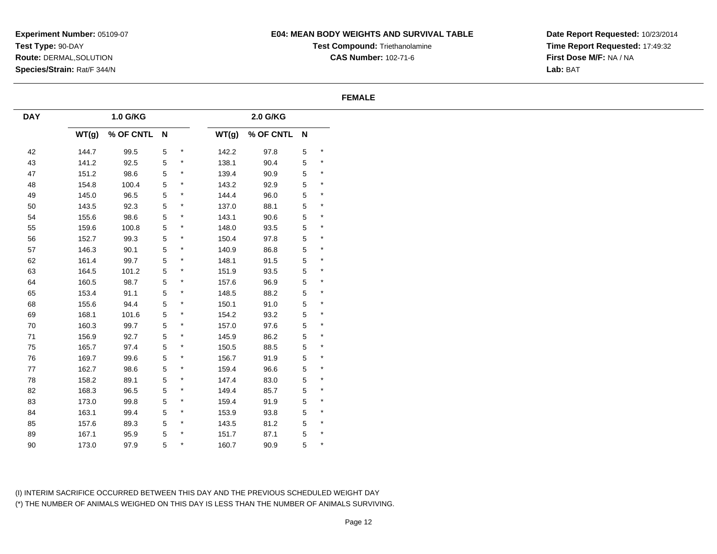# **E04: MEAN BODY WEIGHTS AND SURVIVAL TABLE**

**Test Compound:** Triethanolamine**CAS Number:** 102-71-6

**Date Report Requested:** 10/23/2014**Time Report Requested:** 17:49:32**First Dose M/F:** NA / NA**Lab:** BAT

## **FEMALE**

| <b>DAY</b> |       | 1.0 G/KG    |             |                    |       | 2.0 G/KG    |             |                    |
|------------|-------|-------------|-------------|--------------------|-------|-------------|-------------|--------------------|
|            | WT(g) | % OF CNTL N |             |                    | WT(g) | % OF CNTL N |             |                    |
| 42         | 144.7 | 99.5        | $\mathbf 5$ | $\star$            | 142.2 | 97.8        | $\mathbf 5$ | $\star$            |
| 43         | 141.2 | 92.5        | 5           | $^\star$           | 138.1 | 90.4        | 5           | $\star$            |
| 47         | 151.2 | 98.6        | $\,$ 5 $\,$ | $\ast$             | 139.4 | 90.9        | 5           | $\star$            |
| 48         | 154.8 | 100.4       | $\,$ 5 $\,$ | $\star$            | 143.2 | 92.9        | 5           | $\star$            |
| 49         | 145.0 | 96.5        | 5           | $\star$            | 144.4 | 96.0        | 5           | $\star$            |
| 50         | 143.5 | 92.3        | $\,$ 5 $\,$ | $\star$            | 137.0 | 88.1        | 5           | $\star$            |
| 54         | 155.6 | 98.6        | $\,$ 5 $\,$ | $\star$            | 143.1 | 90.6        | 5           | $\star$            |
| 55         | 159.6 | 100.8       | $\,$ 5 $\,$ | $\star$            | 148.0 | 93.5        | 5           | $\star$            |
| ${\bf 56}$ | 152.7 | 99.3        | 5           | $\ast$             | 150.4 | 97.8        | 5           | $\star$            |
| 57         | 146.3 | 90.1        | 5           | $\star$            | 140.9 | 86.8        | 5           | $\star$            |
| 62         | 161.4 | 99.7        | $\,$ 5 $\,$ | $\star$            | 148.1 | 91.5        | 5           | $\star$            |
| 63         | 164.5 | 101.2       | $\,$ 5 $\,$ | $\star$            | 151.9 | 93.5        | 5           | $\star$            |
| 64         | 160.5 | 98.7        | 5           | $\star$            | 157.6 | 96.9        | 5           | $\star$            |
| 65         | 153.4 | 91.1        | 5           | $\star$            | 148.5 | 88.2        | 5           | $\star$            |
| 68         | 155.6 | 94.4        | $\,$ 5 $\,$ | $\star$            | 150.1 | 91.0        | 5           | $\star$            |
| 69         | 168.1 | 101.6       | $\,$ 5 $\,$ | $\star$            | 154.2 | 93.2        | 5           | $\star$            |
| 70         | 160.3 | 99.7        | $\,$ 5 $\,$ | $\ast$             | 157.0 | 97.6        | $\mathbf 5$ | $\star$            |
| 71         | 156.9 | 92.7        | $\,$ 5 $\,$ | $\star$            | 145.9 | 86.2        | 5           | $\star$            |
| ${\bf 75}$ | 165.7 | 97.4        | 5           | $\star$            | 150.5 | 88.5        | 5           | $\star$            |
| ${\bf 76}$ | 169.7 | 99.6        | $\,$ 5 $\,$ | $\star$            | 156.7 | 91.9        | 5           | $\star$            |
| $77\,$     | 162.7 | 98.6        | $\,$ 5 $\,$ | $\star$            | 159.4 | 96.6        | 5           | $\star$            |
| 78         | 158.2 | 89.1        | 5           | $\star$            | 147.4 | 83.0        | 5           | $\star$            |
| 82         | 168.3 | 96.5        | $\,$ 5 $\,$ | $\ast$             | 149.4 | 85.7        | 5           | $\star$            |
| 83         | 173.0 | 99.8        | $\,$ 5 $\,$ | $\star$            | 159.4 | 91.9        | 5           | $\star$            |
| 84         | 163.1 | 99.4        | $\sqrt{5}$  | $\star$            | 153.9 | 93.8        | 5           | $\star$            |
| 85         | 157.6 | 89.3        | $\,$ 5 $\,$ | $\star$<br>$\star$ | 143.5 | 81.2        | 5           | $\star$<br>$\star$ |
| 89         | 167.1 | 95.9        | 5           | $\ast$             | 151.7 | 87.1        | 5           | $\star$            |
| $90\,$     | 173.0 | 97.9        | 5           |                    | 160.7 | 90.9        | 5           |                    |